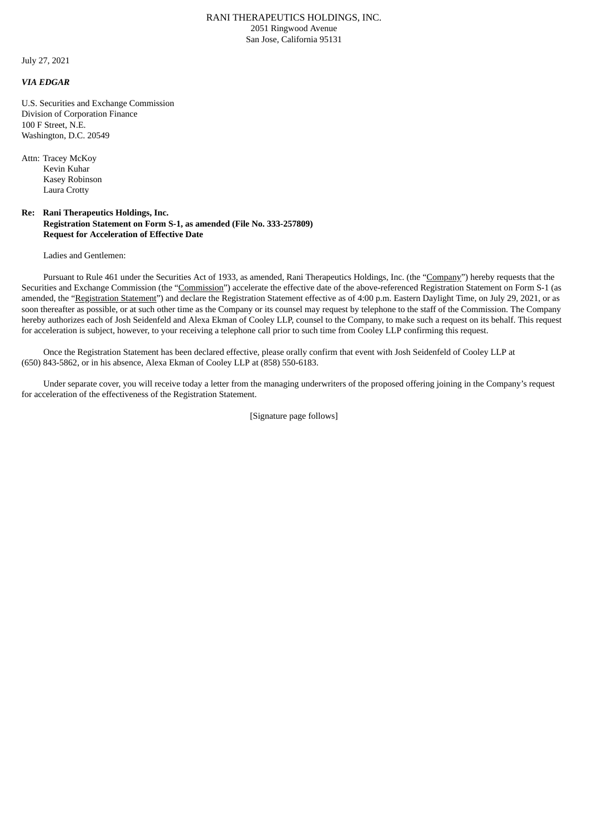## RANI THERAPEUTICS HOLDINGS, INC. 2051 Ringwood Avenue San Jose, California 95131

July 27, 2021

## *VIA EDGAR*

U.S. Securities and Exchange Commission Division of Corporation Finance 100 F Street, N.E. Washington, D.C. 20549

Attn: Tracey McKoy Kevin Kuhar Kasey Robinson Laura Crotty

## **Re: Rani Therapeutics Holdings, Inc. Registration Statement on Form S-1, as amended (File No. 333-257809) Request for Acceleration of Effective Date**

Ladies and Gentlemen:

Pursuant to Rule 461 under the Securities Act of 1933, as amended, Rani Therapeutics Holdings, Inc. (the "Company") hereby requests that the Securities and Exchange Commission (the "Commission") accelerate the effective date of the above-referenced Registration Statement on Form S-1 (as amended, the "Registration Statement") and declare the Registration Statement effective as of 4:00 p.m. Eastern Daylight Time, on July 29, 2021, or as soon thereafter as possible, or at such other time as the Company or its counsel may request by telephone to the staff of the Commission. The Company hereby authorizes each of Josh Seidenfeld and Alexa Ekman of Cooley LLP, counsel to the Company, to make such a request on its behalf. This request for acceleration is subject, however, to your receiving a telephone call prior to such time from Cooley LLP confirming this request.

Once the Registration Statement has been declared effective, please orally confirm that event with Josh Seidenfeld of Cooley LLP at (650) 843-5862, or in his absence, Alexa Ekman of Cooley LLP at (858) 550-6183.

Under separate cover, you will receive today a letter from the managing underwriters of the proposed offering joining in the Company's request for acceleration of the effectiveness of the Registration Statement.

[Signature page follows]